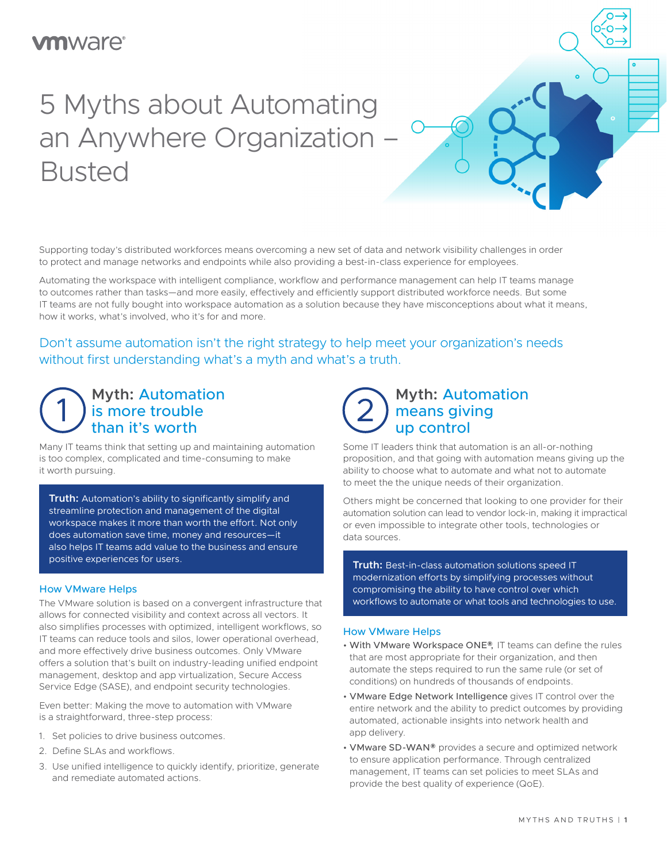# **m**ware<sup>®</sup>

# 5 Myths about Automating an Anywhere Organization – Busted

Supporting today's distributed workforces means overcoming a new set of data and network visibility challenges in order to protect and manage networks and endpoints while also providing a best-in-class experience for employees.

Automating the workspace with intelligent compliance, workflow and performance management can help IT teams manage to outcomes rather than tasks—and more easily, effectively and efficiently support distributed workforce needs. But some IT teams are not fully bought into workspace automation as a solution because they have misconceptions about what it means, how it works, what's involved, who it's for and more.

### Don't assume automation isn't the right strategy to help meet your organization's needs without first understanding what's a myth and what's a truth.

### **Myth:** Automation is more trouble than it's worth

Many IT teams think that setting up and maintaining automation is too complex, complicated and time-consuming to make it worth pursuing.

**Iruth:** Automa<br>streamline prot<br>workspace mak **Truth:** Automation's ability to significantly simplify and streamline protection and management of the digital workspace makes it more than worth the effort. Not only does automation save time, money and resources—it also helps IT teams add value to the business and ensure positive experiences for users.

#### How VMware Helps

The VMware solution is based on a convergent infrastructure that allows for connected visibility and context across all vectors. It also simplifies processes with optimized, intelligent workflows, so IT teams can reduce tools and silos, lower operational overhead, and more effectively drive business outcomes. Only VMware offers a solution that's built on industry-leading unified endpoint management, desktop and app virtualization, Secure Access Service Edge (SASE), and endpoint security technologies.

Even better: Making the move to automation with VMware is a straightforward, three-step process:

- 1. Set policies to drive business outcomes.
- 2. Define SLAs and workflows.
- 3. Use unified intelligence to quickly identify, prioritize, generate and remediate automated actions.

### **Myth:** Automation means giving up control

Some IT leaders think that automation is an all-or-nothing proposition, and that going with automation means giving up the ability to choose what to automate and what not to automate to meet the the unique needs of their organization.

Others might be concerned that looking to one provider for their automation solution can lead to vendor lock-in, making it impractical or even impossible to integrate other tools, technologies or data sources.

**Truth:** Best-in-class automation solutions speed IT modernization efforts by simplifying processes without compromising the ability to have control over which workflows to automate or what tools and technologies to use.

#### How VMware Helps

- With VMware Workspace ONE®, IT teams can define the rules that are most appropriate for their organization, and then automate the steps required to run the same rule (or set of conditions) on hundreds of thousands of endpoints.
- VMware Edge Network Intelligence gives IT control over the entire network and the ability to predict outcomes by providing automated, actionable insights into network health and app delivery.
- VMware SD-WAN® provides a secure and optimized network to ensure application performance. Through centralized management, IT teams can set policies to meet SLAs and provide the best quality of experience (QoE).